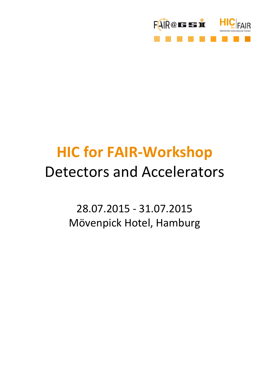

# **HIC for FAIR-Workshop** Detectors and Accelerators

28.07.2015 - 31.07.2015 Mövenpick Hotel, Hamburg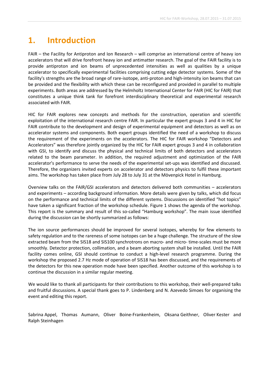# **1. Introduction**

FAIR – the Facility for Antiproton and Ion Research – will comprise an international centre of heavy ion accelerators that will drive forefront heavy ion and antimatter research. The goal of the FAIR facility is to provide antiproton and ion beams of unprecedented intensities as well as qualities by a unique accelerator to specifically experimental facilities comprising cutting edge detector systems. Some of the facility's strengths are the broad range of rare-isotope, anti-proton and high-intensity ion beams that can be provided and the flexibility with which these can be reconfigured and provided in parallel to multiple experiments. Both areas are addressed by the Helmholtz International Center for FAIR (HIC for FAIR) that constitutes a unique think tank for forefront interdisciplinary theoretical and experimental research associated with FAIR.

HIC for FAIR explores new concepts and methods for the construction, operation and scientific exploitation of the international research centre FAIR. In particular the expert groups 3 and 4 in HIC for FAIR contribute to the development and design of experimental equipment and detectors as well as on accelerator systems and components. Both expert groups identified the need of a workshop to discuss the requirement of the experiments on the accelerators. The HIC for FAIR workshop "Detectors and Accelerators" was therefore jointly organized by the HIC for FAIR expert groups 3 and 4 in collaboration with GSI, to identify and discuss the physical and technical limits of both detectors and accelerators related to the beam parameter. In addition, the required adjustment and optimization of the FAIR accelerator's performance to serve the needs of the experimental set-ups was identified and discussed. Therefore, the organizers invited experts on accelerator and detectors physics to fulfil these important aims. The workshop has taken place from July 28 to July 31 at the Mövenpick Hotel in Hamburg.

Overview talks on the FAIR/GSI accelerators and detectors delivered both communities – accelerators and experiments – according background information. More details were given by talks, which did focus on the performance and technical limits of the different systems. Discussions on identified "hot topics" have taken a significant fraction of the workshop schedule. Figure 1 shows the agenda of the workshop. This report is the summary and result of this so-called "Hamburg workshop". The main issue identified during the discussion can be shortly summarized as follows:

The ion source performances should be improved for several isotopes, whereby for few elements to safety regulation and to the rareness of some isotopes can be a huge challenge. The structure of the slow extracted beam from the SIS18 and SIS100 synchrotrons on macro- and micro- time-scales must be more smoothly. Detector protection, collimation, and a beam aborting system shall be installed. Until the FAIR facility comes online, GSI should continue to conduct a high-level research programme. During the workshop the proposed 2.7 Hz mode of operation of SIS18 has been discussed, and the requirements of the detectors for this new operation mode have been specified. Another outcome of this workshop is to continue the discussion in a similar regular meeting.

We would like to thank all participants for their contributions to this workshop, their well-prepared talks and fruitful discussions. A special thank goes to P. Lindenberg and N. Azevedo Simoes for organising the event and editing this report.

Sabrina Appel, Thomas Aumann, Oliver Boine-Frankenheim, Oksana Geithner, Oliver Kester and Ralph Steinhagen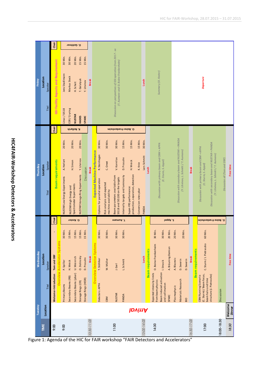| ı        |
|----------|
|          |
| ľ        |
|          |
|          |
|          |
|          |
|          |
|          |
|          |
|          |
| l        |
|          |
|          |
|          |
| l        |
| ı        |
| ׇ֚֘<br>I |
|          |
|          |
| í        |
|          |
|          |
|          |
| ١        |
| j        |
|          |
|          |
| I        |
| j        |
|          |
|          |
| Í        |
|          |
| í        |
|          |

|               |             |                  | Chair                             |                                      |                               |                        | O. Geithner              |                                 |                      |              |                                     |                                          |                                                    |                                                                   |                                                                                                    |                                                                                 |                       |                 |                          |                                                |                                                       |                      |              |                                                   |                                       |              |                          |                                                                               |                                                                                            |                              |                   |           |  |  |
|---------------|-------------|------------------|-----------------------------------|--------------------------------------|-------------------------------|------------------------|--------------------------|---------------------------------|----------------------|--------------|-------------------------------------|------------------------------------------|----------------------------------------------------|-------------------------------------------------------------------|----------------------------------------------------------------------------------------------------|---------------------------------------------------------------------------------|-----------------------|-----------------|--------------------------|------------------------------------------------|-------------------------------------------------------|----------------------|--------------|---------------------------------------------------|---------------------------------------|--------------|--------------------------|-------------------------------------------------------------------------------|--------------------------------------------------------------------------------------------|------------------------------|-------------------|-----------|--|--|
|               |             | Speaker          |                                   |                                      |                               |                        |                          |                                 |                      |              | 30 Min.                             | 20 Min.<br>15 Min.<br>30 Min.<br>15 Min. |                                                    |                                                                   |                                                                                                    |                                                                                 |                       |                 |                          |                                                |                                                       |                      |              |                                                   |                                       |              |                          |                                                                               |                                                                                            |                              |                   |           |  |  |
| <b>Friday</b> | Location    |                  |                                   | GSI Facility Aspects and Requirement |                               | Jens Stadlmann         | Markus Steck             | H. Scheit                       | T. Galatyuk          | Y. Litvinov  | <b>Break</b>                        |                                          |                                                    |                                                                   | Discussion on perspectives of GSI operation from 2017 - xx<br>(T. Aumann and O. Boine-Frankenheim) |                                                                                 |                       |                 | Lunch                    |                                                |                                                       | Summary (O. Kester)  |              |                                                   |                                       |              |                          |                                                                               | Departure                                                                                  |                              |                   |           |  |  |
|               |             | Titel            |                                   |                                      | Linac/SIS18                   | ESR/Cryring            | <b>NUSTAR</b>            | <b>HADES</b>                    | <b>SPARC</b>         |              |                                     |                                          |                                                    |                                                                   |                                                                                                    |                                                                                 |                       |                 |                          |                                                |                                                       |                      |              |                                                   |                                       |              |                          |                                                                               |                                                                                            |                              |                   |           |  |  |
|               |             |                  | Chair                             |                                      |                               |                        | R. Reifarth              |                                 |                      |              |                                     |                                          |                                                    | O. Boine-Frankenheim                                              |                                                                                                    |                                                                                 |                       |                 |                          |                                                |                                                       |                      |              |                                                   |                                       |              |                          |                                                                               |                                                                                            |                              |                   |           |  |  |
|               |             |                  |                                   |                                      | 20 Min.                       |                        | 20 Min.                  | 20 Min.                         |                      |              |                                     | 30 Min.                                  | 30 Min.                                            | 30 Min.                                                           | 15 Min.                                                                                            | 15 Min.                                                                         | 15 Min.               | 30 Min.         |                          |                                                |                                                       |                      |              |                                                   |                                       |              |                          |                                                                               |                                                                                            |                              |                   |           |  |  |
| Thursday      | Location    | Speaker<br>Titel |                                   |                                      |                               | A. Herlert             |                          | H.Simon                         | Y. Litvinov          |              | <b>Break</b>                        |                                          | R. Steinhagen                                      | C. Omet                                                           | V. Kornilov                                                                                        | D. Prasuhn                                                                      | H. Weick              | K. Knie         | Lars Schmitt             | Lunch                                          |                                                       | (C. Sturm, S. Appel) |              |                                                   | (Y. Litvinov, L. Schmitt / T. Aumann) |              | <b>Break</b>             |                                                                               |                                                                                            |                              |                   | Free time |  |  |
|               |             |                  | <b>Beam requirements</b>          |                                      | NUSTAR Low Energy Experiments | NUSTAR High Energy and | Spectrometer Experiments | NUSTAR Storage Ring Experiments | Discussion           |              | <b>Expected Machine Performance</b> | Options for parallel operation           | Risk analysis and expected<br>machine availability | Beam parameters available from<br>SIS18 and SIS100 on the targets | Internally targets and luminosity                                                                  | production, separation, detection<br>Super-FRS performance:                     | Conversion rates pbar | PANDA           |                          |                                                | Discussion with primary beam and CBM + APPA           |                      |              | Discussion with secondary beam and NUSTAR + PANDA |                                       |              |                          | Discussion with primary beam and CBM + APPA<br>(C. Sturm, S. Appel)           | Discussion with secondary beam and NUSTAR + PANDA<br>(Y. Litvinov, L. Schmitt / T. Aumann) | Discussion all (Tom und OBF) |                   |           |  |  |
|               |             |                  | Chair                             |                                      |                               |                        | O. Kester                |                                 |                      |              |                                     |                                          |                                                    | nnsmuA.T                                                          |                                                                                                    |                                                                                 |                       |                 |                          |                                                |                                                       | IsqqA.2              |              |                                                   |                                       |              |                          | O. Boine-Frankenheim                                                          |                                                                                            |                              |                   |           |  |  |
|               |             |                  |                                   |                                      | 30 Min.                       | 15 Min.                | 15 Min.                  | 15 Min.                         | 15 Min.              |              |                                     | 30 Min.                                  | 30 Min.                                            | 30 Min.                                                           | 30 Min.                                                                                            |                                                                                 |                       |                 |                          | 30 Min.                                        | 30 Min.                                               | 20 Min.              | 20 Min.      | 20 Min.                                           |                                       |              |                          | 60 Min.                                                                       |                                                                                            |                              |                   |           |  |  |
| Wednesday     | Location    | Speaker          |                                   | erview Accelerator Systems           | P. Spiller                    | H. Weick               | U. Weinrich              | O. Dolinskiy                    | D. Prasuhn           | <b>Break</b> | <b>Overview Detector Systems</b>    | T. Stöhlker                              | W.Müller                                           | J. Gerl                                                           | L. Schmitt                                                                                         |                                                                                 |                       | Lunch           | <b>Beam requirements</b> | O. Boine-Frankenheim                           |                                                       | A. Bräuning-Demian   | A. Blazevic  | D. Severin                                        | D. Severin                            | <b>Break</b> | <b>Beam requirements</b> | C. Sturm / J. Pietraszko                                                      |                                                                                            |                              | Free time         |           |  |  |
|               |             | Titel            | Welcome+ Introduction Tom und OBF |                                      | Primary Beams                 | Secondary Beams (RB)   | Secondary Beams (pbar)   | Storage Rings (CR)              | Storage Rings (HESR) |              |                                     | Detectors: APPA                          | CBM                                                | <b>NUSTAR</b>                                                     | PANDA                                                                                              |                                                                                 |                       |                 |                          | Expected intensity limits<br>from beam physics | Beam induced activation 1. Strasik<br>and collimation | SPARC                | Plasmaphysic | Materials Research                                | <b>BIO</b>                            |              |                          | (C. Sturm) / Beam focus,<br><b>CBM Running Scenario</b><br>beam halo and time | structure (J. Pietraszko)                                                                  | Discussion                   |                   |           |  |  |
| Tuesday       | Location    |                  |                                   |                                      |                               |                        |                          |                                 |                      |              |                                     |                                          |                                                    |                                                                   |                                                                                                    | <b>lovinA</b>                                                                   |                       |                 |                          |                                                |                                                       |                      |              |                                                   |                                       |              |                          |                                                                               |                                                                                            |                              | Welcome<br>Dinner |           |  |  |
|               | <b>TIME</b> |                  | 9:00                              |                                      | 9:00                          |                        |                          |                                 |                      | 10:30-11:00  |                                     |                                          |                                                    | 11:00                                                             |                                                                                                    | Figure 1: Agenda of the HIC for FAIR workshop "FAIR Detectors and Accelerators" |                       | $13.00 - 14.00$ |                          | 14:30                                          |                                                       |                      |              |                                                   |                                       | 16:30-17:00  |                          | 17:00                                                                         |                                                                                            | 18:00-18:30                  | 18:30             |           |  |  |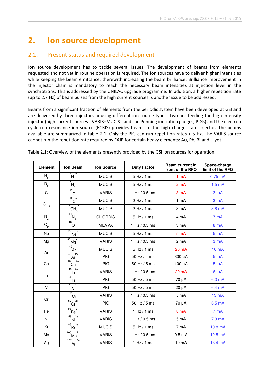# **2. Ion source development**

# 2.1. Present status and required development

Ion source development has to tackle several issues. The development of beams from elements requested and not yet in routine operation is required. The ion sources have to deliver higher intensities while keeping the beam emittance, therewith increasing the beam brilliance. Brilliance improvement in the injector chain is mandatory to reach the necessary beam intensities at injection level in the synchrotrons. This is addressed by the UNILAC upgrade programme. In addition, a higher repetition rate (up to 2.7 Hz) of beam pulses from the high current sources is another issue to be addressed.

Beams from a significant fraction of elements from the periodic system have been developed at GSI and are delivered by three injectors housing different ion source types. Two are feeding the high intensity injector (high current sources - VARIS+MUCIS - and the Penning ionization gauges, PIGs) and the electron cyclotron resonance ion source (ECRIS) provides beams to the high charge state injector. The beams available are summarized in table 2.1. Only the PIG can run repetition rates > 5 Hz. The VARIS source cannot run the repetition rate required by FAIR for certain heavy elements: Au, Pb, Bi and U yet.

| <b>Element</b>  | Ion Beam                                   | <b>Ion Source</b>          | <b>Duty Factor</b> | Beam current in<br>front of the RFQ | Space-charge<br>limit of the RFQ |
|-----------------|--------------------------------------------|----------------------------|--------------------|-------------------------------------|----------------------------------|
| $H_{2}$         | $H_{3}$                                    | <b>MUCIS</b>               | $5$ Hz $/$ 1 ms    | 1 mA                                | $0.75$ mA                        |
| $D\overline{Q}$ | ${\sf H}_3$                                | <b>MUCIS</b>               | $5$ Hz $/$ 1 ms    | 2 <sub>m</sub> A                    | 1.5 <sub>m</sub> A               |
| $\mathsf{C}$    | $12 +$<br>С                                | <b>VARIS</b>               | 1 Hz $/$ 0.5 ms    | 3 <sub>m</sub> A                    | 3 <sub>m</sub> A                 |
| CH <sub>4</sub> | $12 +$<br>С                                | <b>MUCIS</b>               | $2$ Hz $/$ 1 ms    | $1 \text{ mA}$                      | 3 <sub>m</sub> A                 |
|                 | 12<br>$\overline{+}$<br>$CH_{\frac{3}{2}}$ | <b>MUCIS</b>               | $2$ Hz $/$ 1 ms    | 3 mA                                | 3.8 mA                           |
| $N_{2}$         | 14<br>$N_{2}$                              | <b>CHORDIS</b>             | 5 Hz / 1 ms        | 4 mA                                | 7 <sub>m</sub> A                 |
| O <sub>2</sub>  | 16<br>$O_{\underline{2}}$                  | <b>MEVVA</b>               | 1 Hz $/$ 0.5 ms    | 3 mA                                | <b>8 mA</b>                      |
| Ne              | 20<br>$+$<br><b>Ne</b>                     | <b>MUCIS</b>               | $5$ Hz $/$ 1 ms    | 5 <sub>m</sub> A                    | 5 <sub>m</sub> A                 |
| Mg              | $2+$<br>24<br>Mg                           | <b>VARIS</b>               | 1 Hz / 0.5 ms      | 2 <sub>m</sub> A                    | 3 <sub>m</sub> A                 |
| Ar              | $40 +$<br>Ar                               | <b>MUCIS</b>               | $5$ Hz $/$ 1 ms    | 20 mA                               | 10 mA                            |
|                 | $^{2+}$<br>40<br>Ar                        | <b>PIG</b>                 | 50 Hz / 4 ms       | 330 µA                              | 5 <sub>m</sub> A                 |
| Ca              | $2+$<br>40<br>Ca                           | <b>PIG</b>                 | $50$ Hz / 5 ms     | 100 µA                              | 5 <sub>m</sub> A                 |
| Ti              | $48$ $2+$<br>Ti                            | <b>VARIS</b>               | 1 Hz / 0.5 ms      | $20 \text{ mA}$                     | 6 mA                             |
|                 | $50 - 2 +$<br>Ti                           | <b>PIG</b><br>50 Hz / 5 ms |                    | 70 µA                               | 6.3 mA                           |
| $\vee$          | $512+$<br>v                                | <b>PIG</b>                 | 50 Hz / 5 ms       | $20 \mu A$                          | 6.4 mA                           |
| Cr              | 52<br>$+$<br>Cr                            | <b>VARIS</b>               | 1 Hz / 0.5 ms      | 5 <sub>m</sub> A                    | 13 mA                            |
|                 | $^{2+}$<br>52<br>Cr                        | <b>PIG</b>                 | 50 Hz / 5 ms       | 70 µA                               | 6.5 <sub>m</sub> A               |
| Fe              | $2+$<br>56<br>Fe                           | <b>VARIS</b>               | 1 Hz / 1 ms        | 8 <sub>m</sub> A                    | 7 <sub>m</sub> A                 |
| Ni              | $2+$<br>58<br>Ni                           | <b>VARIS</b>               | 1 Hz / 0.5 ms      | 5 mA                                | $7.3 \text{ mA}$                 |
| Kr              | $^{2+}$<br>86<br>Κr                        | <b>MUCIS</b>               | $5$ Hz $/$ 1 ms    | 7 mA                                | 10.8 mA                          |
| Mo              | $^{2+}$<br>100<br>Mo                       | <b>VARIS</b>               | 1 Hz / 0.5 ms      | 0.5 <sub>m</sub> A                  | 12.5 mA                          |
| Ag              | $2+$<br>107<br>Ag                          | <b>VARIS</b>               | 1 Hz / 1 ms        | 10 <sub>m</sub> A                   | 13.4 mA                          |

Table 2.1: Overview of the elements presently provided by the GSI ion sources for operation.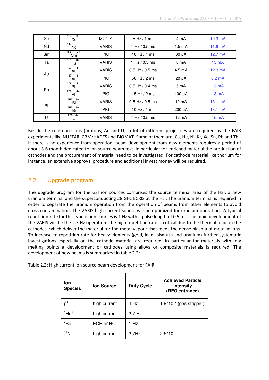| Xe        | $124 - 3 +$<br>Xe        | <b>MUCIS</b> | $5$ Hz $/$ 1 ms     | 4 mA             | $10.3 \text{ mA}$ |
|-----------|--------------------------|--------------|---------------------|------------------|-------------------|
| Nd        | $142 - 3 +$<br>Nd        | <b>VARIS</b> | 1 Hz $/$ 0.5 ms     | $1.5 \text{ mA}$ | $11.8 \text{ mA}$ |
| <b>Sm</b> | $3+$<br>152<br>Sm        | <b>PIG</b>   | 10 Hz $/$ 4 ms      | $60 \mu A$       | $12.7 \text{ mA}$ |
| Тa        | 181<br>$3+$<br>Та        | <b>VARIS</b> | 1 Hz / 0.5 ms       | 8 mA             | $15 \text{ mA}$   |
|           | 197<br>$4+$<br>Au        | <b>VARIS</b> | $0.5$ Hz $/$ 0.5 ms | $4.5 \text{ mA}$ | $12.3 \text{ mA}$ |
| Au        | $197$ $8+$<br>Au         | <b>PIG</b>   | 50 Hz $/$ 2 ms      | $20 \mu A$       | $6.2 \text{ mA}$  |
|           | 208<br>$4+$<br><b>Pb</b> | <b>VARIS</b> | $0.5$ Hz $/$ 0.4 ms | 5 <sub>m</sub> A | $13 \text{ mA}$   |
| <b>Pb</b> | 208<br>$4+$<br><b>Pb</b> | <b>PIG</b>   | 15 Hz $/$ 2 ms      | $100 \mu A$      | $13 \text{ mA}$   |
| Bi        | $209 - 4+$<br>Bi         | <b>VARIS</b> | $0.5$ Hz / 0.5 ms   | $12 \text{ mA}$  | $13.1 \text{ mA}$ |
|           | $209 - 4 +$<br>Bi        | <b>PIG</b>   | 10 Hz $/$ 1 ms      | 200 µA           | $13.1 \text{ mA}$ |
| U         | $238 + 4 +$<br>U         | <b>VARIS</b> | 1 Hz $/$ 0.5 ms     | $12 \text{ mA}$  | $15 \text{ mA}$   |

Beside the reference ions (protons, Au and U), a lot of different projectiles are required by the FAIR experiments like NUSTAR, CBM/HADES and BIOMAT. Some of them are: Ca, He, Ni, Kr, Xe, Sn, Pb and Th. If there is no experience from operation, beam development from new elements requires a period of about 3-6 month dedicated to ion source beam test. In particular for enriched material the production of cathodes and the procurement of material need to be investigated. For cathode material like thorium for instance, an extensive approval procedure and additional invest money will be required.

# 2.2. Upgrade program

The upgrade program for the GSI ion sources comprises the source terminal area of the HSI, a new uranium terminal and the superconducting 28 GHz ECRIS at the HLI. The uranium terminal is required in order to separate the uranium operation from the operation of beams from other elements to avoid cross contamination. The VARIS high current source will be optimized for uranium operation. A typical repetition rate for this type of ion sources is 1 Hz with a pulse length of 0.5 ms. The main development of the VARIS will be the 2.7 Hz operation. The high repetition rate is critical due to the thermal load on the cathodes, which deliver the material for the metal vapour that feeds the dense plasma of metallic ions. To increase to repetition rate for heavy elements (gold, lead, bismuth and uranium) further systematic investigations especially on the cathode material are required. In particular for materials with low melting points a development of cathodes using alloys or composite materials is required. The development of new beams is summarized in table 2.2:

Table 2.2: High current ion source beam development for FAIR

| lon.<br><b>Species</b>              | <b>Ion Source</b> | <b>Duty Cycle</b> | <b>Achieved Particle</b><br><b>Intensity</b><br>(RFQ entrance) |  |  |  |  |  |
|-------------------------------------|-------------------|-------------------|----------------------------------------------------------------|--|--|--|--|--|
| $p^*$                               | high current      | 4 Hz              | $1.9*10^{12}$ (gas stripper)                                   |  |  |  |  |  |
| $4$ He <sup>+</sup>                 | high current      | $2.7$ Hz          |                                                                |  |  |  |  |  |
| $^{9}$ Be <sup>+</sup>              | ECR or HC         | 1 Hz              |                                                                |  |  |  |  |  |
| $^{14}$ N <sub>2</sub> <sup>+</sup> | high current      | $2.7$ Hz          | $2.5*10^{12}$                                                  |  |  |  |  |  |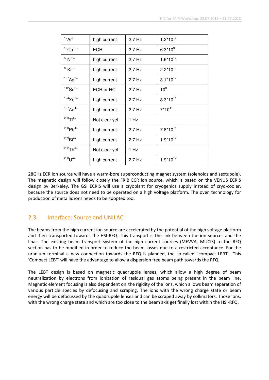| $40Ar$ <sup>+</sup>       | high current  | $2.7$ Hz | $1.2*10^{13}$   |
|---------------------------|---------------|----------|-----------------|
| $48$ Ca <sup>10+</sup>    | <b>ECR</b>    | 2.7 Hz   | $6.3*10^{9}$    |
| $58$ Ni <sup>2+</sup>     | high current  | $2.7$ Hz | $1.6*10^{12}$   |
| $86$ Kr <sup>2+</sup>     | high current  | $2.7$ Hz | $2.2*10^{12}$   |
| $107$ Ag <sup>2+</sup>    | high current  | 2.7 Hz   | $3.1*10^{12}$   |
| $112$ Sn <sup>2+</sup>    | ECR or HC     | 2.7 Hz   | 10 <sup>9</sup> |
| $124\text{Xe}^{3+}$       | high current  | $2.7$ Hz | $8.3*10^{11}$   |
| $197$ Au <sup>4+</sup>    | high current  | 2.7 Hz   | $7*10^{11}$     |
| $^{203}$ Tl <sup>4+</sup> | Not clear yet | 1 Hz     |                 |
| $^{208}Pb^{4+}$           | high current  | $2.7$ Hz | $7.8*10^{11}$   |
| $^{209}Bi^{4+}$           | high current  | $2.7$ Hz | $1.9*10^{12}$   |
| $^{232}Th^{4+}$           | Not clear yet | 1 Hz     |                 |
| $^{238}$ U <sup>4+</sup>  | high current  | $2.7$ Hz | $1.9*10^{12}$   |

28GHz ECR ion source will have a warm-bore superconducting magnet system (solenoids and sextupole). The magnetic design will follow closely the FRIB ECR ion source, which is based on the VENUS ECRIS design by Berkeley. The GSI ECRIS will use a cryoplant for cryogenics supply instead of cryo-cooler, because the source does not need to be operated on a high voltage platform. The oven technology for production of metallic ions needs to be adopted too.

# 2.3. Interface: Source and UNILAC

The beams from the high current ion source are accelerated by the potential of the high voltage platform and then transported towards the HSI-RFQ. This transport is the link between the ion sources and the linac. The existing beam transport system of the high current sources (MEVVA, MUCIS) to the RFQ section has to be modified in order to reduce the beam losses due to a restricted acceptance. For the uranium terminal a new connection towards the RFQ is planned, the so-called "compact LEBT". This 'Compact LEBT' will have the advantage to allow a dispersion free beam path towards the RFQ.

The LEBT design is based on magnetic quadrupole lenses, which allow a high degree of beam neutralization by electrons from ionization of residual gas atoms being present in the beam line. Magnetic element focusing is also dependent on the rigidity of the ions, which allows beam separation of various particle species by defocusing and scraping. The ions with the wrong charge state or beam energy will be defocussed by the quadrupole lenses and can be scraped away by collimators. Those ions, with the wrong charge state and which are too close to the beam axis get finally lost within the HSI-RFQ.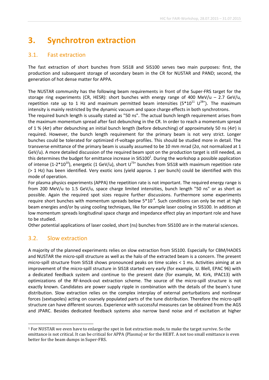# **3. Synchrotron extraction**

# 3.1. Fast extraction

The fast extraction of short bunches from SIS18 and SIS100 serves two main purposes: first, the production and subsequent storage of secondary beam in the CR for NUSTAR and PAND; second, the generation of hot dense matter for APPA.

The NUSTAR community has the following beam requirements in front of the Super-FRS target for the storage ring experiments (CR, HESR): short bunches with energy range of 400 MeV/u – 2.7 GeV/u, repetition rate up to 1 Hz and maximum permitted beam intensities ( $5*10^{11}$   $U^{28*}$ ). The maximum intensity is mainly restricted by the dynamic vacuum and space charge effects in both synchrotrons.

The required bunch length is usually stated as "50 ns". The actual bunch length requirement arises from the maximum momentum spread after fast debunching in the CR. In order to reach a momentum spread of 1 % (4 $\sigma$ ) after debunching an initial bunch length (before debunching) of approximately 50 ns (4 $\sigma$ ) is required. However, the bunch length requirement for the primary beam is not very strict. Longer bunches could be tolerated for optimized rf-voltage profiles. This should be studied more in detail. The transverse emittance of the primary beam is usually assumed to be 10 mm mrad (2σ, not normalized at 1 GeV/u). A more detailed discussion of the required beam spot on the production target is still needed, as this determines the budget for emittance increase in SIS100<sup>1</sup>. During the workshop a possible application of intense (1-2\*10<sup>10</sup>), energetic (1 GeV/u), short  $U^{73+}$  bunches from SIS18 with maximum repetition rate (> 1 Hz) has been identified. Very exotic ions (yield approx. 1 per bunch) could be identified with this mode of operation.

For plasma physics experiments (APPA) the repetition rate is not important. The required energy range is from 200 MeV/u to 1.5 GeV/u, space charge limited intensities, bunch length "50 ns" or as short as possible. Again the required spot sizes require further discussions. Furthermore some experiments require short bunches with momentum spreads below  $5*10^{-4}$ . Such conditions can only be met at high beam energies and/or by using cooling techniques, like for example laser cooling in SIS100. In addition at low momentum spreads longitudinal space charge and impedance effect play an important role and have to be studied.

Other potential applications of laser cooled, short (ns) bunches from SIS100 are in the material sciences.

# 3.2. Slow extraction

A majority of the planned experiments relies on slow extraction from SIS100. Especially for CBM/HADES and NUSTAR the micro-spill structure as well as the halo of the extracted beam is a concern. The present micro-spill structure from SIS18 shows pronounced peaks on time scales < 1 ms. Activities aiming at an improvement of the micro-spill structure in SIS18 started very early (for example, U. Blell, EPAC 96) with a dedicated feedback system and continue to the present date (for example, M. Kirk, IPAC13) with optimizations of the RF-knock-out extraction scheme. The source of the micro-spill structure is not exactly known. Candidates are power supply ripple in combination with the details of the beam's tune distribution. Slow extraction relies on the complex interplay of external perturbations and nonlinear forces (sextupoles) acting on coarsely populated parts of the tune distribution. Therefore the micro-spill structure can have different sources. Experience with successful measures can be obtained from the AGS and JPARC. Besides dedicated feedback systems also narrow band noise and rf excitation at higher

 $\overline{a}$ <sup>1</sup> For NUSTAR we even have to enlarge the spot in fast extraction mode, to make the target survive. So the emittance is not critical. It can be critical for APPA (Plasma) or for the HEBT. A not too small emittance is even better for the beam dumps in Super-FRS.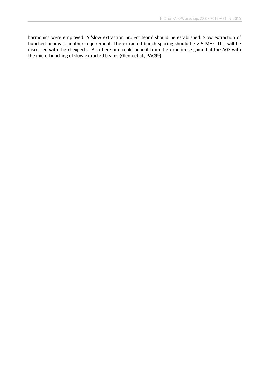harmonics were employed. A 'slow extraction project team' should be established. Slow extraction of bunched beams is another requirement. The extracted bunch spacing should be > 5 MHz. This will be discussed with the rf experts. Also here one could benefit from the experience gained at the AGS with the micro-bunching of slow extracted beams (Glenn et al., PAC99).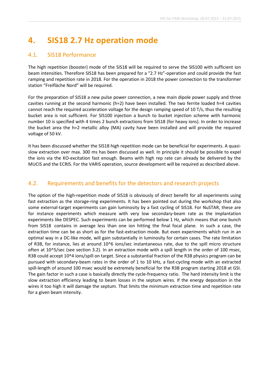# **4. SIS18 2.7 Hz operation mode**

### 4.1. SIS18 Performance

The high repetition (booster) mode of the SIS18 will be required to serve the SIS100 with sufficient ion beam intensities. Therefore SIS18 has been prepared for a "2.7 Hz"-operation and could provide the fast ramping and repetition rate in 2018. For the operation in 2018 the power connection to the transformer station "Freifläche Nord" will be required.

For the preparation of SIS18 a new pulse power connection, a new main dipole power supply and three cavities running at the second harmonic (h=2) have been installed. The two ferrite loaded h=4 cavities cannot reach the required acceleration voltage for the design ramping speed of 10 T/s, thus the resulting bucket area is not sufficient. For SIS100 injection a bunch to bucket injection scheme with harmonic number 10 is specified with 4 times 2 bunch extractions from SIS18 (for heavy ions). In order to increase the bucket area the h=2 metallic alloy (MA) cavity have been installed and will provide the required voltage of 50 kV.

It has been discussed whether the SIS18 high repetition mode can be beneficial for experiments. A quasislow extraction over max. 300 ms has been discussed as well. In principle it should be possible to expel the ions via the KO-excitation fast enough. Beams with high rep rate can already be delivered by the MUCIS and the ECRIS. For the VARIS operation, source development will be required as described above.

# 4.2. Requirements and benefits for the detectors and research projects

The option of the high-repetition mode of SIS18 is obviously of direct benefit for all experiments using fast extraction as the storage-ring experiments. It has been pointed out during the workshop that also some external-target experiments can gain luminosity by a fast cycling of SIS18. For NuSTAR, these are for instance experiments which measure with very low secondary-beam rate as the implantation experiments like DESPEC. Such experiments can be performed below 1 Hz, which means that one bunch from SIS18 contains in average less than one ion hitting the final focal plane. In such a case, the extraction time can be as short as for the fast-extraction mode. But even experiments which run in an optimal way in a DC-like mode, will gain substantially in luminosity for certain cases. The rate limitation of R3B, for instance, lies at around 10^6 ions/sec instantaneous rate, due to the spill micro structure often at 10^5/sec (see section 3.2). In an extraction mode with a spill length in the order of 100 msec, R3B could accept 10^4 ions/spill on target. Since a substantial fraction of the R3B physics program can be pursued with secondary-beam rates in the order of 1 to 10 kHz, a fast-cycling mode with an extracted spill-length of around 100 msec would be extremely beneficial for the R3B program starting 2018 at GSI. The gain factor in such a case is basically directly the cycle-frequency ratio. The hard intensity limit is the slow extraction efficiency leading to beam losses in the septum wires. If the energy deposition in the wires it too high it will damage the septum. That limits the minimum extraction time and repetition rate for a given beam intensity.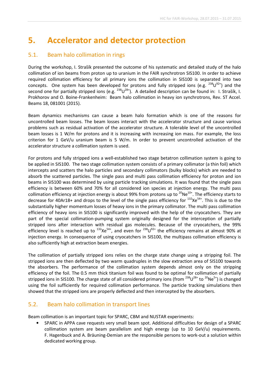# **5. Accelerator and detector protection**

### 5.1. Beam halo collimation in rings

During the workshop, I. Strašík presented the outcome of his systematic and detailed study of the halo collimation of ion beams from proton up to uranium in the FAIR synchrotron SIS100. In order to achieve required collimation efficiency for all primary ions the collimation in SIS100 is separated into two concepts. One system has been developed for protons and fully stripped ions (e.g.  $^{238}U^{92+}$ ) and the second one for partially stripped ions (e.g.  $^{238}U^{28+}$ ). A detailed description can be found in: I. Strašík, I. Prokhorov and O. Boine-Frankenheim: Beam halo collimation in heavy ion synchrotrons, Rev. ST Accel. Beams 18, 081001 (2015).

Beam dynamics mechanisms can cause a beam halo formation which is one of the reasons for uncontrolled beam losses. The beam losses interact with the accelerator structure and cause various problems such as residual activation of the accelerator structure. A tolerable level of the uncontrolled beam losses is 1 W/m for protons and it is increasing with increasing ion mass. For example, the loss criterion for 1 GeV/u uranium beam is 5 W/m. In order to prevent uncontrolled activation of the accelerator structure a collimation system is used.

For protons and fully stripped ions a well-established two stage betatron collimation system is going to be applied in SIS100. The two stage collimation system consists of a primary collimator (a thin foil) which intercepts and scatters the halo particles and secondary collimators (bulky blocks) which are needed to absorb the scattered particles. The single pass and multi pass collimation efficiency for proton and ion beams in SIS100 was determined by using particle tracking simulations. It was found that the single pass efficiency is between 60% and 70% for all considered ion species at injection energy. The multi pass collimation efficiency at injection energy is about 99% from protons up to  $^{20}Ne^{10+}$ . The efficiency starts to decrease for 40Ar18+ and drops to the level of the single pass efficiency for  $^{132}Xe^{54}$ . This is due to the substantially higher momentum losses of heavy ions in the primary collimator. The multi pass collimation efficiency of heavy ions in SIS100 is significantly improved with the help of the cryocatchers. They are part of the special collimation-pumping system originally designed for the interception of partially stripped ions after interaction with residual gas molecules. Because of the cryocatchers, the 99% efficiency level is reached up to  $^{132}Xe^{54}$ , and even for  $^{238}U^{92+}$  the efficiency remains at almost 90% at injection energy. In consequence of using cryocatchers in SIS100, the multipass collimation efficiency is also sufficiently high at extraction beam energies.

The collimation of partially stripped ions relies on the charge state change using a stripping foil. The stripped ions are then deflected by two warm quadruples in the slow extraction area of SIS100 towards the absorbers. The performance of the collimation system depends almost only on the stripping efficiency of the foil. The 0.5 mm thick titanium foil was found to be optimal for collimation of partially stripped ions in SIS100. The charge state of all considered primary ions (from  $^{238}$ U<sup>28+</sup> to  $^{20}$ Ne<sup>5+</sup>) is changed using the foil sufficiently for required collimation performance. The particle tracking simulations then showed that the stripped ions are properly deflected and then intercepted by the absorbers.

#### 5.2. Beam halo collimation in transport lines

Beam collimation is an important topic for SPARC, CBM and NUSTAR experiments:

• SPARC in APPA cave requests very small beam spot. Additional difficulties for design of a SPARC collimation system are beam parallelism and high energy (up to 10 GeV/u) requirements. F. Hagenbuck and A. Bräuning-Demian are the responsible persons to work-out a solution within dedicated working group.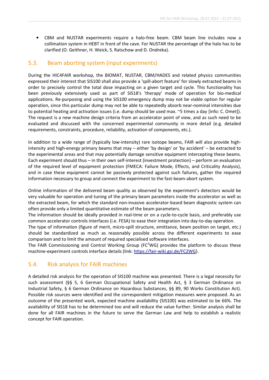• CBM and NUSTAR experiments require a halo-free beam. CBM beam line includes now a collimation system in HEBT in front of the cave. For NUSTAR the percentage of the halo has to be clarified (O. Geithner, H. Weick, S. Ratschow and D. Ondreka).

#### 5.3. Beam aborting system (input experiments)

During the HIC4FAIR workshop, the BIOMAT, NUSTAR, CBM/HADES and related physics communities expressed their interest that SIS100 shall also provide a 'spill-abort feature' for slowly extracted beams in order to precisely control the total dose impacting on a given target and cycle. This functionality has been previously extensively used as part of SIS18's 'therapy' mode of operation for bio-medical applications. Re-purposing and using the SIS100 emergency dump may not be viable option for regular operation, since this particular dump may not be able to repeatedly absorb near-nominal intensities due to potential heating and activation issues (i.e. dump should be used max. ~5 times a day [info: C. Omet]). The request is a new machine design criteria from an accelerator point of view, and as such need to be evaluated and discussed with the concerned experimental community in more detail (e.g. detailed requirements, constraints, procedure, reliability, activation of components, etc.).

In addition to a wide range of (typically low-intensity) rare isotope beams, FAIR will also provide highintensity and high-energy primary beams that may – either 'by design' or 'by accident' – be extracted to the experimental areas and that may potentially damage sensitive equipment intercepting these beams. Each experiment should thus – in their own self-interest (investment protection) – perform an evaluation of the required level of equipment protection (FMECA: Failure Mode, Effects, and Criticality Analysis), and in case these equipment cannot be passively protected against such failures, gather the required information necessary to group and connect the experiment to the fast-beam-abort system.

Online information of the delivered beam quality as observed by the experiment's detectors would be very valuable for operation and tuning of the primary beam parameters inside the accelerator as well as the extracted beam, for which the standard non-invasive accelerator-based beam diagnostic system can often provide only a limited quantitative estimate of the beam parameters.

The information should be ideally provided in real-time or on a cycle-to-cycle basis, and preferably use common accelerator controls interfaces (i.e. FESA) to ease their integration into day-to-day operation.

The type of information (figure of merit, micro-spill structure, emittance, beam position on target, etc.) should be standardized as much as reasonably possible across the different experiments to ease comparison and to limit the amount of required specialised software interfaces.

The FAIR Commissioning and Control Working Group (FC<sup>2</sup>WG) provides the platform to discuss these machine-experiment controls interface details (link: https://fair-wiki.gsi.de/FC2WG).

#### 5.4. Risk analysis for FAIR machines

A detailed risk analysis for the operation of SIS100 machine was presented. There is a legal necessity for such assessment (§§ 5, 6 German Occupational Safety and Health Act, § 3 German Ordinance on Industrial Safety, § 6 German Ordinance on Hazardous Substances, §§ 89, 90 Works Constitution Act). Possible risk sources were identified and the correspondent mitigation measures were proposed. As an outcome of the presented work, expected machine availability (SIS100) was estimated to be 66%. The availability of SIS18 has to be determined too and will reduce the value further. Similar analysis shall be done for all FAIR machines in the future to serve the German Law and help to establish a realistic concept for FAIR operation.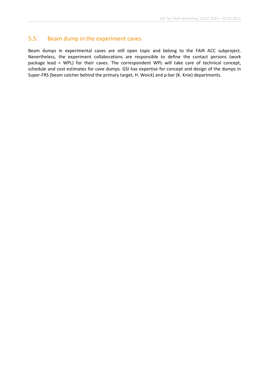#### 5.5. Beam dump in the experiment caves

Beam dumps in experimental caves are still open topic and belong to the FAIR ACC subproject. Nevertheless, the experiment collaborations are responsible to define the contact persons (work package lead = WPL) for their caves. The correspondent WPL will take care of technical concept, schedule and cost estimates for cave dumps. GSI has expertise for concept and design of the dumps in Super-FRS (beam catcher behind the primary target, H. Weick) and p-bar (K. Knie) departments.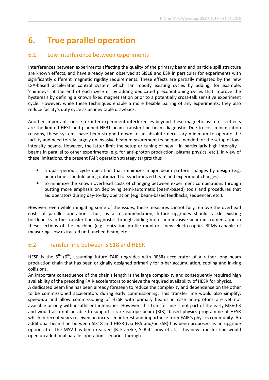# **6. True parallel operation**

#### 6.1. Low interference between experiments

Interferences between experiments affecting the quality of the primary beam and particle spill structure are known effects, and have already been observed at SIS18 and ESR in particular for experiments with significantly different magnetic rigidity requirements. These effects are partially mitigated by the new LSA-based accelerator control system which can modify existing cycles by adding, for example, 'chimneys' at the end of each cycle or by adding dedicated preconditioning cycles that improve the hysteresis by defining a known fixed magnetization prior to a potentially cross-talk sensitive experiment cycle. However, while these techniques enable a more flexible pairing of any experiments, they also reduce facility's duty cycle as an inevitable drawback.

Another important source for inter-experiment interferences beyond these magnetic hysteresis effects are the limited HEST and planned HEBT beam transfer line beam diagnostic. Due to cost minimization reasons, these systems have been stripped down to an absolute necessary minimum to operate the facility and need to rely largely on invasive beam measurement techniques, needed for the setup of lowintensity beams. However, the latter limit the setup or tuning of new – in particularly high intensity – beams in parallel to other experiments (e.g. for anti-proton production, plasma physics, etc.). In view of these limitations, the present FAIR operation strategy targets thus

- a quasi-periodic cycle operation that minimizes major beam pattern changes by design (e.g. beam time schedule being optimized for synchronized beam and experiment changes).
- to minimize the known overhead costs of changing between experiment combinations through putting more emphasis on deploying semi-automatic (beam-based) tools and procedures that aid operators during day-to-day operation (e.g. beam-based feedbacks, sequencer, etc.).

However, even while mitigating some of the issues, these measures cannot fully remove the overhead costs of parallel operation. Thus, as a recommendation, future upgrades should tackle existing bottlenecks in the transfer line diagnostic through adding more non-invasive beam instrumentation in these sections of the machine (e.g. ionization profile monitors, new electro-optics BPMs capable of measuring slow extracted un-bunched beam, etc.).

# 6.2. Transfer line between SIS18 and HESR

HESR is the  $5^{th}$  ( $6^{th}$ , assuming future FAIR upgrades with RESR) accelerator of a rather long beam production chain that has been originally designed primarily for p-bar accumulation, cooling and in-ring collisions.

An important consequence of the chain's length is the large complexity and consequently required high availability of the preceding FAIR accelerators to achieve the required availability of HESR for physics.

A dedicated beam line has been already foreseen to reduce the complexity and dependence on the other to be commissioned accelerators during early commissioning. This transfer line would also simplify, speed-up and allow commissioning of HESR with primary beams in case anti-protons are yet not available or only with insufficient intensities. However, this transfer line is not part of the early MSV0-3 and would also not be able to support a rare isotope beam (RIB) -based physics programme at HESR which in recent years received an increased interest and importance from FAIR's physics community. An additional beam-line between SIS18 and HESR (via FRS and/or ESR) has been proposed as an upgrade option after the MSV has been realized [B. Franzke, S. Ratschow et al.]. This new transfer line would open up additional parallel operation scenarios through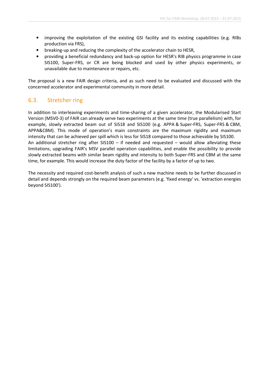- improving the exploitation of the existing GSI facility and its existing capabilities (e.g. RIBs production via FRS),
- breaking-up and reducing the complexity of the accelerator chain to HESR,
- providing a beneficial redundancy and back-up option for HESR's RIB physics programme in case SIS100, Super-FRS, or CR are being blocked and used by other physics experiments, or unavailable due to maintenance or repairs, etc.

The proposal is a new FAIR design criteria, and as such need to be evaluated and discussed with the concerned accelerator and experimental community in more detail.

#### 6.3. Stretcher ring

In addition to interleaving experiments and time-sharing of a given accelerator, the Modularised Start Version (MSV0-3) of FAIR can already serve two experiments at the same time (true parallelism) with, for example, slowly extracted beam out of SIS18 and SIS100 (e.g. APPA & Super-FRS, Super-FRS & CBM, APPA&CBM). This mode of operation's main constraints are the maximum rigidity and maximum intensity that can be achieved per spill which is less for SIS18 compared to those achievable by SIS100. An additional stretcher ring after  $SIS100 - if$  needed and requested – would allow alleviating these limitations, upgrading FAIR's MSV parallel operation capabilities, and enable the possibility to provide slowly extracted beams with similar beam rigidity and intensity to both Super-FRS and CBM at the same time, for example. This would increase the duty factor of the facility by a factor of up to two.

The necessity and required cost-benefit analysis of such a new machine needs to be further discussed in detail and depends strongly on the required beam parameters (e.g. 'fixed energy' vs. 'extraction energies beyond SIS100').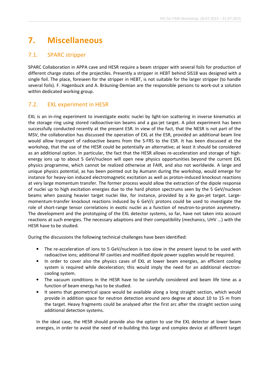# **7. Miscellaneous**

### 7.1. SPARC stripper

SPARC Collaboration in APPA cave and HESR require a beam stripper with several foils for production of different charge states of the projectiles. Presently a stripper in HEBT behind SIS18 was designed with a single foil. The place, foreseen for the stripper in HEBT, is not suitable for the larger stripper (to handle several foils). F. Hagenbuck and A. Bräuning-Demian are the responsible persons to work-out a solution within dedicated working group.

# 7.2. EXL experiment in HESR

EXL is an in-ring experiment to investigate exotic nuclei by light-ion scattering in inverse kinematics at the storage ring using stored radioactive-ion beams and a gas-jet target. A pilot experiment has been successfully conducted recently at the present ESR. In view of the fact, that the NESR is not part of the MSV, the collaboration has discussed the operation of EXL at the ESR, provided an additional beam line would allow transport of radioactive beams from the S-FRS to the ESR. It has been discussed at the workshop, that the use of the HESR could be potentially an alternative; at least it should be considered as an additional option. In particular, the fact that the HESR allows re-acceleration and storage of highenergy ions up to about 5 GeV/nucleon will open new physics opportunities beyond the current EXL physics programme, which cannot be realized otherwise at FAIR, and also not worldwide. A large and unique physics potential, as has been pointed out by Aumann during the workshop, would emerge for instance for heavy-ion induced electromagnetic excitation as well as proton-induced knockout reactions at very large momentum transfer. The former process would allow the extraction of the dipole response of nuclei up to high excitation energies due to the hard photon spectrums seen by the 5 GeV/nucleon beams when passing heavier target nuclei like, for instance, provided by a Xe gas-jet target. Largemomentum-transfer knockout reactions induced by 6 GeV/c protons could be used to investigate the role of short-range tensor correlations in exotic nuclei as a function of neutron-to-proton asymmetry. The development and the prototyping of the EXL detector systems, so far, have not taken into account reactions at such energies. The necessary adaptions and their compatibility (mechanics, UHV ...) with the HESR have to be studied.

During the discussions the following technical challenges have been identified:

- The re-acceleration of ions to 5 GeV/nucleon is too slow in the present layout to be used with radioactive ions; additional RF cavities and modified dipole power supplies would be required.
- In order to cover also the physics cases of EXL at lower beam energies, an efficient cooling system is required while deceleration; this would imply the need for an additional electroncooling system.
- The vacuum conditions in the HESR have to be carefully considered and beam life time as a function of beam energy has to be studied.
- It seems that geometrical space would be available along a long straight section, which would provide in addition space for neutron detection around zero degree at about 10 to 15 m from the target. Heavy fragments could be analysed after the first arc after the straight section using additional detection systems.

In the ideal case, the HESR should provide also the option to use the EXL detector at lower beam energies, in order to avoid the need of re-building this large and complex device at different target